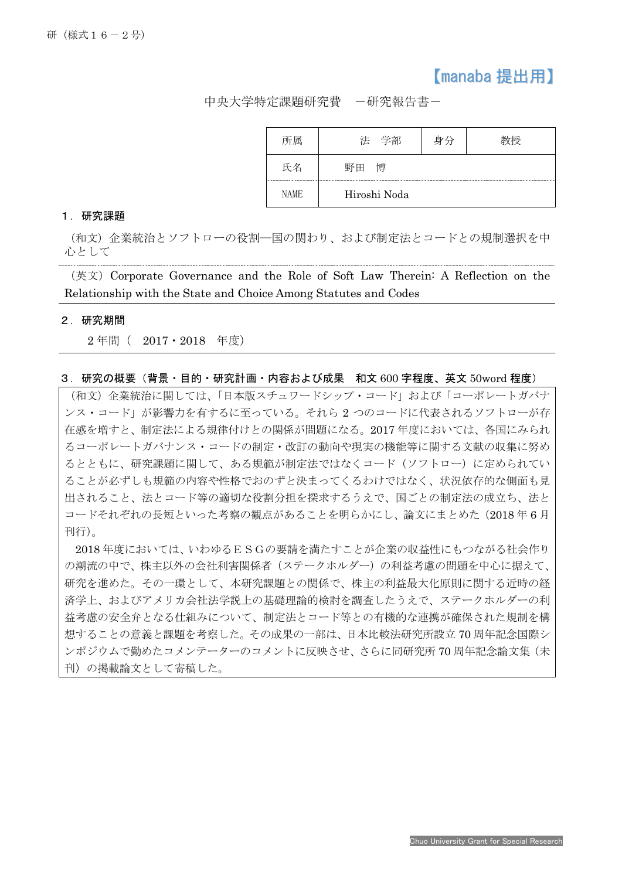## 【manaba 提出用】

中央大学特定課題研究費 -研究報告書-

| 所属          | 法 学部         | 身分 |  |
|-------------|--------------|----|--|
| 氏名          | 博<br>野田      |    |  |
| <b>NAME</b> | Hiroshi Noda |    |  |

## 1.研究課題

(和文)企業統治とソフトローの役割―国の関わり、および制定法とコードとの規制選択を中 心として

(英文)Corporate Governance and the Role of Soft Law Therein: A Reflection on the Relationship with the State and Choice Among Statutes and Codes

## 2.研究期間

Ī

2年間 ( 2017·2018 年度)

## 3.研究の概要(背景・目的・研究計画・内容および成果 和文 600 字程度、英文 50word 程度)

(和文)企業統治に関しては、「日本版スチュワードシップ・コード」および「コーポレートガバナ ンス・コード」が影響力を有するに至っている。それら 2 つのコードに代表されるソフトローが存 在感を増すと、制定法による規律付けとの関係が問題になる。2017 年度においては、各国にみられ るコーポレートガバナンス・コードの制定・改訂の動向や現実の機能等に関する文献の収集に努め るとともに、研究課題に関して、ある規範が制定法ではなくコード(ソフトロー)に定められてい ることが必ずしも規範の内容や性格でおのずと決まってくるわけではなく、状況依存的な側面も見 出されること、法とコード等の適切な役割分担を探求するうえで、国ごとの制定法の成立ち、法と コードそれぞれの長短といった考察の観点があることを明らかにし、論文にまとめた(2018年6月 刊行)。

2018 年度においては、いわゆるESGの要請を満たすことが企業の収益性にもつながる社会作り の潮流の中で、株主以外の会社利害関係者(ステークホルダー)の利益考慮の問題を中心に据えて、 研究を進めた。その一環として、本研究課題との関係で、株主の利益最大化原則に関する近時の経 済学上、およびアメリカ会社法学説上の基礎理論的検討を調査したうえで、ステークホルダーの利 益考慮の安全弁となる仕組みについて、制定法とコード等との有機的な連携が確保された規制を構 想することの意義と課題を考察した。その成果の一部は、日本比較法研究所設立 70 周年記念国際シ ンポジウムで勤めたコメンテーターのコメントに反映させ、さらに同研究所 70 周年記念論文集(未 刊)の掲載論文として寄稿した。